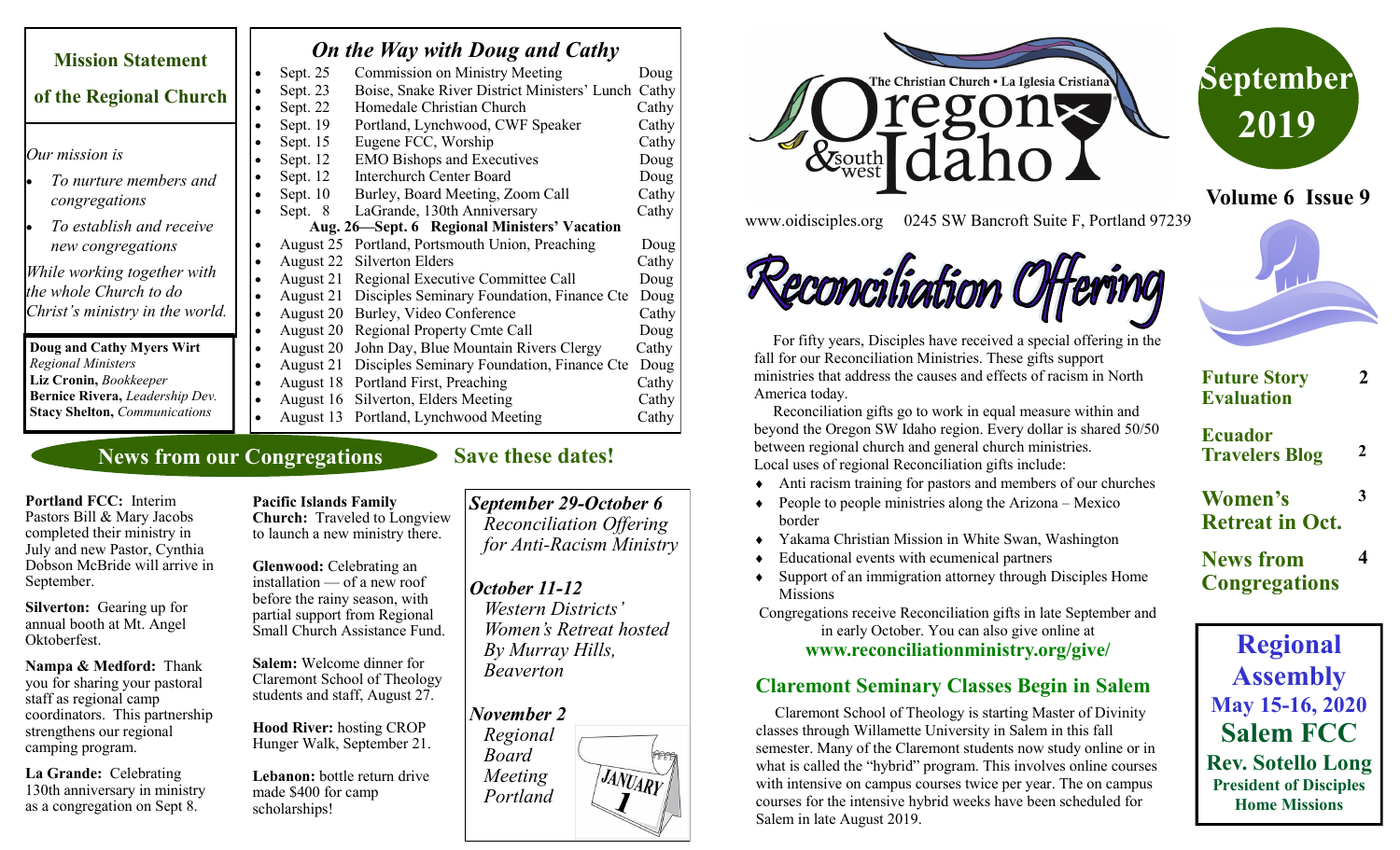| <b>Mission Statement</b>             | <b>On the Way with Doug and Cathy</b>                          |       |
|--------------------------------------|----------------------------------------------------------------|-------|
|                                      | <b>Commission on Ministry Meeting</b><br>Sept. 25              | Doug  |
| of the Regional Church               | Boise, Snake River District Ministers' Lunch Cathy<br>Sept. 23 |       |
|                                      | Homedale Christian Church<br>Sept. 22                          | Cathy |
|                                      | Sept. 19<br>Portland, Lynchwood, CWF Speaker                   | Cathy |
|                                      | Eugene FCC, Worship<br>Sept. 15                                | Cathy |
| Our mission is                       | <b>EMO Bishops and Executives</b><br>Sept. 12                  | Doug  |
| To nurture members and               | <b>Interchurch Center Board</b><br>Sept. 12                    | Doug  |
| congregations                        | Sept. $10$<br>Burley, Board Meeting, Zoom Call                 | Cathy |
|                                      | LaGrande, 130th Anniversary<br>Sept. 8                         | Cathy |
| To establish and receive             | Aug. 26—Sept. 6 Regional Ministers' Vacation                   |       |
| new congregations                    | Portland, Portsmouth Union, Preaching<br>August 25             | Doug  |
|                                      | August 22<br>Silverton Elders                                  | Cathy |
| While working together with          | Regional Executive Committee Call<br>August 21                 | Doug  |
| the whole Church to do               | Disciples Seminary Foundation, Finance Cte<br>August 21        | Doug  |
| Christ's ministry in the world.      | August 20<br>Burley, Video Conference                          | Cathy |
|                                      | <b>Regional Property Cmte Call</b><br>August 20                | Doug  |
| Doug and Cathy Myers Wirt            | John Day, Blue Mountain Rivers Clergy<br>August 20             | Cathy |
| <b>Regional Ministers</b>            | Disciples Seminary Foundation, Finance Cte<br>August 21        | Doug  |
| Liz Cronin, Bookkeeper               | August 18 Portland First, Preaching                            | Cathy |
| Bernice Rivera, Leadership Dev.      | Silverton, Elders Meeting<br>August 16                         | Cathy |
| <b>Stacy Shelton, Communications</b> | August 13 Portland, Lynchwood Meeting                          | Cathy |

## **News from our Congregations**

**Portland FCC:** Interim Pastors Bill & Mary Jacobs completed their ministry in July and new Pastor, Cynthia Dobson McBride will arrive in September.

**Silverton:** Gearing up for annual booth at Mt. Angel Oktoberfest.

**Nampa & Medford:** Thank you for sharing your pastoral staff as regional camp coordinators. This partnership strengthens our regional camping program.

**La Grande:** Celebrating 130th anniversary in ministry as a congregation on Sept 8.

**Pacific Islands Family Church:** Traveled to Longview to launch a new ministry there.

**Glenwood:** Celebrating an installation — of a new roof before the rainy season, with partial support from Regional Small Church Assistance Fund.

**Salem:** Welcome dinner for Claremont School of Theology students and staff, August 27.

**Hood River:** hosting CROP Hunger Walk, September 21.

**Lebanon:** bottle return drive made \$400 for camp scholarships!

# *September 29-October 6*

 *Reconciliation Offering for Anti-Racism Ministry*

### *October 11-12*

**Save these dates!** 

 *Western Districts' Women's Retreat hosted By Murray Hills, Beaverton*







**Volume 6 Issue 9**

www.oidisciples.org 0245 SW Bancroft Suite F, Portland 97239

# Reconciliation Off



 For fifty years, Disciples have received a special offering in the fall for our Reconciliation Ministries. These gifts support ministries that address the causes and effects of racism in North America today.

 Reconciliation gifts go to work in equal measure within and beyond the Oregon SW Idaho region. Every dollar is shared 50/50 between regional church and general church ministries. Local uses of regional Reconciliation gifts include:

- Anti racism training for pastors and members of our churches
- $\triangle$  People to people ministries along the Arizona Mexico border
- Yakama Christian Mission in White Swan, Washington
- Educational events with ecumenical partners
- Support of an immigration attorney through Disciples Home **Missions**

Congregations receive Reconciliation gifts in late September and in early October. You can also give online at

**www.reconciliationministry.org/give/**

### **Claremont Seminary Classes Begin in Salem**

 Claremont School of Theology is starting Master of Divinity classes through Willamette University in Salem in this fall semester. Many of the Claremont students now study online or in what is called the "hybrid" program. This involves online courses with intensive on campus courses twice per year. The on campus courses for the intensive hybrid weeks have been scheduled for Salem in late August 2019.



**Regional Assembly May 15-16, 2020 Salem FCC Rev. Sotello Long President of Disciples Home Missions**